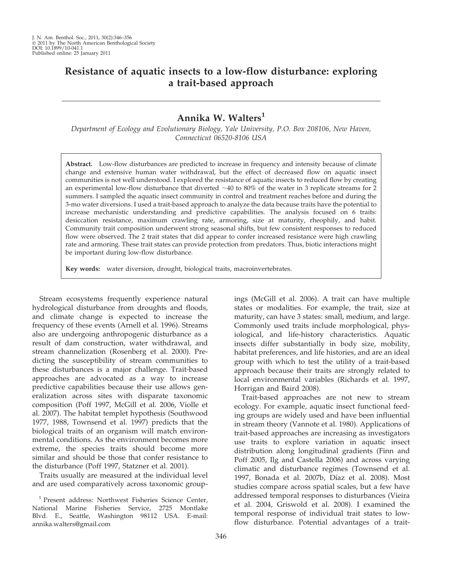# Resistance of aquatic insects to a low-flow disturbance: exploring a trait-based approach

## Annika W. Walters<sup>1</sup>

Department of Ecology and Evolutionary Biology, Yale University, P.O. Box 208106, New Haven, Connecticut 06520-8106 USA

Abstract. Low-flow disturbances are predicted to increase in frequency and intensity because of climate change and extensive human water withdrawal, but the effect of decreased flow on aquatic insect communities is not well understood. I explored the resistance of aquatic insects to reduced flow by creating an experimental low-flow disturbance that diverted  $\sim$ 40 to 80% of the water in 3 replicate streams for 2 summers. I sampled the aquatic insect community in control and treatment reaches before and during the 3-mo water diversions. I used a trait-based approach to analyze the data because traits have the potential to increase mechanistic understanding and predictive capabilities. The analysis focused on 6 traits: desiccation resistance, maximum crawling rate, armoring, size at maturity, rheophily, and habit. Community trait composition underwent strong seasonal shifts, but few consistent responses to reduced flow were observed. The 2 trait states that did appear to confer increased resistance were high crawling rate and armoring. These trait states can provide protection from predators. Thus, biotic interactions might be important during low-flow disturbance.

Key words: water diversion, drought, biological traits, macroinvertebrates.

Stream ecosystems frequently experience natural hydrological disturbance from droughts and floods, and climate change is expected to increase the frequency of these events (Arnell et al. 1996). Streams also are undergoing anthropogenic disturbance as a result of dam construction, water withdrawal, and stream channelization (Rosenberg et al. 2000). Predicting the susceptibility of stream communities to these disturbances is a major challenge. Trait-based approaches are advocated as a way to increase predictive capabilities because their use allows generalization across sites with disparate taxonomic composition (Poff 1997, McGill et al. 2006, Violle et al. 2007). The habitat templet hypothesis (Southwood 1977, 1988, Townsend et al. 1997) predicts that the biological traits of an organism will match environmental conditions. As the environment becomes more extreme, the species traits should become more similar and should be those that confer resistance to the disturbance (Poff 1997, Statzner et al. 2001).

Traits usually are measured at the individual level and are used comparatively across taxonomic group-

<sup>1</sup> Present address: Northwest Fisheries Science Center, National Marine Fisheries Service, 2725 Montlake Blvd. E., Seattle, Washington 98112 USA. E-mail: annika.walters@gmail.com

ings (McGill et al. 2006). A trait can have multiple states or modalities. For example, the trait, size at maturity, can have 3 states: small, medium, and large. Commonly used traits include morphological, physiological, and life-history characteristics. Aquatic insects differ substantially in body size, mobility, habitat preferences, and life histories, and are an ideal group with which to test the utility of a trait-based approach because their traits are strongly related to local environmental variables (Richards et al. 1997, Horrigan and Baird 2008).

Trait-based approaches are not new to stream ecology. For example, aquatic insect functional feeding groups are widely used and have been influential in stream theory (Vannote et al. 1980). Applications of trait-based approaches are increasing as investigators use traits to explore variation in aquatic insect distribution along longitudinal gradients (Finn and Poff 2005, Ilg and Castella 2006) and across varying climatic and disturbance regimes (Townsend et al. 1997, Bonada et al. 2007b, Díaz et al. 2008). Most studies compare across spatial scales, but a few have addressed temporal responses to disturbances (Vieira et al. 2004, Griswold et al. 2008). I examined the temporal response of individual trait states to lowflow disturbance. Potential advantages of a trait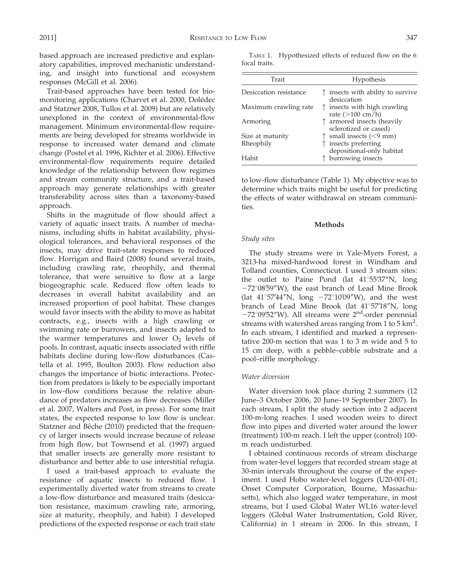based approach are increased predictive and explanatory capabilities, improved mechanistic understanding, and insight into functional and ecosystem responses (McGill et al. 2006).

Trait-based approaches have been tested for biomonitoring applications (Charvet et al. 2000, Dolédec and Statzner 2008, Tullos et al. 2009) but are relatively unexplored in the context of environmental-flow management. Minimum environmental-flow requirements are being developed for streams worldwide in response to increased water demand and climate change (Postel et al. 1996, Richter et al. 2006). Effective environmental-flow requirements require detailed knowledge of the relationship between flow regimes and stream community structure, and a trait-based approach may generate relationships with greater transferability across sites than a taxonomy-based approach.

Shifts in the magnitude of flow should affect a variety of aquatic insect traits. A number of mechanisms, including shifts in habitat availability, physiological tolerances, and behavioral responses of the insects, may drive trait-state responses to reduced flow. Horrigan and Baird (2008) found several traits, including crawling rate, rheophily, and thermal tolerance, that were sensitive to flow at a large biogeographic scale. Reduced flow often leads to decreases in overall habitat availability and an increased proportion of pool habitat. These changes would favor insects with the ability to move as habitat contracts, e.g., insects with a high crawling or swimming rate or burrowers, and insects adapted to the warmer temperatures and lower  $O<sub>2</sub>$  levels of pools. In contrast, aquatic insects associated with riffle habitats decline during low-flow disturbances (Castella et al. 1995, Boulton 2003). Flow reduction also changes the importance of biotic interactions. Protection from predators is likely to be especially important in low-flow conditions because the relative abundance of predators increases as flow decreases (Miller et al. 2007, Walters and Post, in press). For some trait states, the expected response to low flow is unclear. Statzner and Bêche (2010) predicted that the frequency of larger insects would increase because of release from high flow, but Townsend et al. (1997) argued that smaller insects are generally more resistant to disturbance and better able to use interstitial refugia.

I used a trait-based approach to evaluate the resistance of aquatic insects to reduced flow. I experimentally diverted water from streams to create a low-flow disturbance and measured traits (desiccation resistance, maximum crawling rate, armoring, size at maturity, rheophily, and habit). I developed predictions of the expected response or each trait state

TABLE 1. Hypothesized effects of reduced flow on the 6 focal traits.

| Trait                  | Hypothesis                                                     |
|------------------------|----------------------------------------------------------------|
| Desiccation resistance | insects with ability to survive<br>Ŧ.<br>desiccation           |
| Maximum crawling rate  | insects with high crawling<br>T.<br>rate $(>100 \text{ cm/h})$ |
| Armoring               | armored insects (heavily<br>sclerotized or cased)              |
| Size at maturity       | small insects $(< 9$ mm)                                       |
| Rheophily              | insects preferring<br>depositional-only habitat                |
| Habit                  | burrowing insects                                              |

to low-flow disturbance (Table 1). My objective was to determine which traits might be useful for predicting the effects of water withdrawal on stream communities.

#### Methods

## Study sites

The study streams were in Yale-Myers Forest, a 3213-ha mixed-hardwood forest in Windham and Tolland counties, Connecticut. I used 3 stream sites: the outlet to Paine Pond (lat  $41^{\circ}55'37''N$ , long  $-72^{\circ}08'59''W$ , the east branch of Lead Mine Brook (lat  $41^{\circ}57'44''N$ , long  $-72^{\circ}10'09''W$ ), and the west branch of Lead Mine Brook (lat 41°57'18"N, long  $-72^{\circ}09'52''$ W). All streams were  $2<sup>nd</sup>$ -order perennial streams with watershed areas ranging from  $1$  to  $5 \text{ km}^2$ . In each stream, I identified and marked a representative 200-m section that was 1 to 3 m wide and 5 to 15 cm deep, with a pebble–cobble substrate and a pool–riffle morphology.

## Water diversion

Water diversion took place during 2 summers (12 June–3 October 2006, 20 June–19 September 2007). In each stream, I split the study section into 2 adjacent 100-m-long reaches. I used wooden weirs to direct flow into pipes and diverted water around the lower (treatment) 100-m reach. I left the upper (control) 100 m reach undisturbed.

I obtained continuous records of stream discharge from water-level loggers that recorded stream stage at 30-min intervals throughout the course of the experiment. I used Hobo water-level loggers (U20-001-01; Onset Computer Corporation, Bourne, Massachusetts), which also logged water temperature, in most streams, but I used Global Water WL16 water-level loggers (Global Water Instrumentation, Gold River, California) in 1 stream in 2006. In this stream, I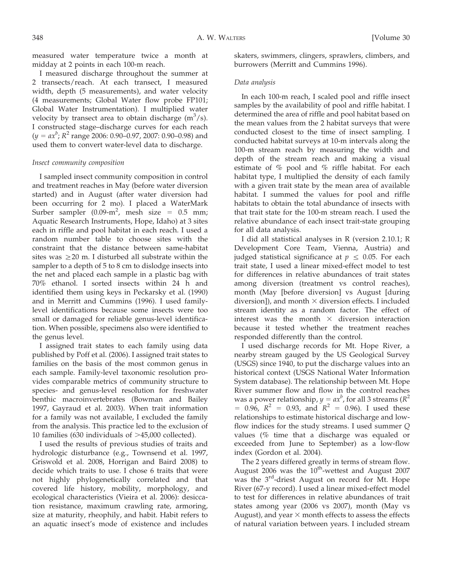measured water temperature twice a month at midday at 2 points in each 100-m reach.

I measured discharge throughout the summer at 2 transects/reach. At each transect, I measured width, depth (5 measurements), and water velocity (4 measurements; Global Water flow probe FP101; Global Water Instrumentation). I multiplied water velocity by transect area to obtain discharge  $(m^3/s)$ . I constructed stage–discharge curves for each reach  $(y = ax^b; R^2 \text{ range } 2006: 0.90 - 0.97, 2007: 0.90 - 0.98)$  and used them to convert water-level data to discharge.

## Insect community composition

I sampled insect community composition in control and treatment reaches in May (before water diversion started) and in August (after water diversion had been occurring for 2 mo). I placed a WaterMark Surber sampler  $(0.09-m^2)$ , mesh size = 0.5 mm; Aquatic Research Instruments, Hope, Idaho) at 3 sites each in riffle and pool habitat in each reach. I used a random number table to choose sites with the constraint that the distance between same-habitat sites was  $\geq$  20 m. I disturbed all substrate within the sampler to a depth of 5 to 8 cm to dislodge insects into the net and placed each sample in a plastic bag with 70% ethanol. I sorted insects within 24 h and identified them using keys in Peckarsky et al. (1990) and in Merritt and Cummins (1996). I used familylevel identifications because some insects were too small or damaged for reliable genus-level identification. When possible, specimens also were identified to the genus level.

I assigned trait states to each family using data published by Poff et al. (2006). I assigned trait states to families on the basis of the most common genus in each sample. Family-level taxonomic resolution provides comparable metrics of community structure to species- and genus-level resolution for freshwater benthic macroinvertebrates (Bowman and Bailey 1997, Gayraud et al. 2003). When trait information for a family was not available, I excluded the family from the analysis. This practice led to the exclusion of 10 families (630 individuals of  $>45,000$  collected).

I used the results of previous studies of traits and hydrologic disturbance (e.g., Townsend et al. 1997, Griswold et al. 2008, Horrigan and Baird 2008) to decide which traits to use. I chose 6 traits that were not highly phylogenetically correlated and that covered life history, mobility, morphology, and ecological characteristics (Vieira et al. 2006): desiccation resistance, maximum crawling rate, armoring, size at maturity, rheophily, and habit. Habit refers to an aquatic insect's mode of existence and includes

skaters, swimmers, clingers, sprawlers, climbers, and burrowers (Merritt and Cummins 1996).

## Data analysis

In each 100-m reach, I scaled pool and riffle insect samples by the availability of pool and riffle habitat. I determined the area of riffle and pool habitat based on the mean values from the 2 habitat surveys that were conducted closest to the time of insect sampling. I conducted habitat surveys at 10-m intervals along the 100-m stream reach by measuring the width and depth of the stream reach and making a visual estimate of % pool and % riffle habitat. For each habitat type, I multiplied the density of each family with a given trait state by the mean area of available habitat. I summed the values for pool and riffle habitats to obtain the total abundance of insects with that trait state for the 100-m stream reach. I used the relative abundance of each insect trait-state grouping for all data analysis.

I did all statistical analyses in R (version 2.10.1; R Development Core Team, Vienna, Austria) and judged statistical significance at  $p \leq 0.05$ . For each trait state, I used a linear mixed-effect model to test for differences in relative abundances of trait states among diversion (treatment vs control reaches), month (May [before diversion] vs August [during diversion]), and month  $\times$  diversion effects. I included stream identity as a random factor. The effect of interest was the month  $\times$  diversion interaction because it tested whether the treatment reaches responded differently than the control.

I used discharge records for Mt. Hope River, a nearby stream gauged by the US Geological Survey (USGS) since 1940, to put the discharge values into an historical context (USGS National Water Information System database). The relationship between Mt. Hope River summer flow and flow in the control reaches was a power relationship,  $y = ax^b$ , for all 3 streams ( $R^2$  $= 0.96$ ,  $R^2 = 0.93$ , and  $R^2 = 0.96$ ). I used these relationships to estimate historical discharge and lowflow indices for the study streams. I used summer Q values (% time that a discharge was equaled or exceeded from June to September) as a low-flow index (Gordon et al. 2004).

The 2 years differed greatly in terms of stream flow. August 2006 was the  $10^{th}$ -wettest and August 2007 was the 3<sup>rd</sup>-driest August on record for Mt. Hope River (67-y record). I used a linear mixed-effect model to test for differences in relative abundances of trait states among year (2006 vs 2007), month (May vs August), and year  $\times$  month effects to assess the effects of natural variation between years. I included stream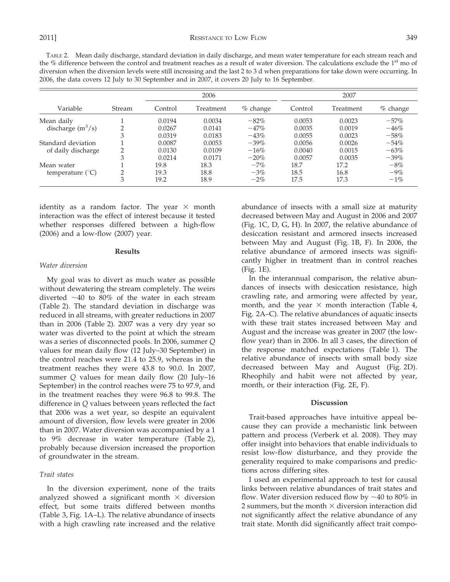TABLE 2. Mean daily discharge, standard deviation in daily discharge, and mean water temperature for each stream reach and the % difference between the control and treatment reaches as a result of water diversion. The calculations exclude the  $1<sup>st</sup>$  mo of diversion when the diversion levels were still increasing and the last 2 to 3 d when preparations for take down were occurring. In 2006, the data covers 12 July to 30 September and in 2007, it covers 20 July to 16 September.

|                           |        | 2006    |           | 2007       |         |           |            |
|---------------------------|--------|---------|-----------|------------|---------|-----------|------------|
| Variable                  | Stream | Control | Treatment | $%$ change | Control | Treatment | $%$ change |
| Mean daily                |        | 0.0194  | 0.0034    | $-82\%$    | 0.0053  | 0.0023    | $-57\%$    |
| discharge $(m^3/s)$       | ◠      | 0.0267  | 0.0141    | $-47%$     | 0.0035  | 0.0019    | $-46%$     |
|                           | 3      | 0.0319  | 0.0183    | $-43%$     | 0.0055  | 0.0023    | $-58%$     |
| Standard deviation        |        | 0.0087  | 0.0053    | $-39%$     | 0.0056  | 0.0026    | $-54\%$    |
| of daily discharge        |        | 0.0130  | 0.0109    | $-16%$     | 0.0040  | 0.0015    | $-63%$     |
|                           | 3      | 0.0214  | 0.0171    | $-20\%$    | 0.0057  | 0.0035    | $-39\%$    |
| Mean water                |        | 19.8    | 18.3      | $-7\%$     | 18.7    | 17.2      | $-8\%$     |
| temperature $(^{\circ}C)$ | ◠      | 19.3    | 18.8      | $-3\%$     | 18.5    | 16.8      | $-9\%$     |
|                           | 3      | 19.2    | 18.9      | $-2\%$     | 17.5    | 17.3      | $-1\%$     |

identity as a random factor. The year  $\times$  month interaction was the effect of interest because it tested whether responses differed between a high-flow (2006) and a low-flow (2007) year.

#### Results

#### Water diversion

My goal was to divert as much water as possible without dewatering the stream completely. The weirs diverted  $\sim$ 40 to 80% of the water in each stream (Table 2). The standard deviation in discharge was reduced in all streams, with greater reductions in 2007 than in 2006 (Table 2). 2007 was a very dry year so water was diverted to the point at which the stream was a series of disconnected pools. In 2006, summer Q values for mean daily flow (12 July–30 September) in the control reaches were 21.4 to 25.9, whereas in the treatment reaches they were 43.8 to 90.0. In 2007, summer Q values for mean daily flow (20 July–16 September) in the control reaches were 75 to 97.9, and in the treatment reaches they were 96.8 to 99.8. The difference in Q values between years reflected the fact that 2006 was a wet year, so despite an equivalent amount of diversion, flow levels were greater in 2006 than in 2007. Water diversion was accompanied by a 1 to 9% decrease in water temperature (Table 2), probably because diversion increased the proportion of groundwater in the stream.

#### Trait states

In the diversion experiment, none of the traits analyzed showed a significant month  $\times$  diversion effect, but some traits differed between months (Table 3, Fig. 1A–L). The relative abundance of insects with a high crawling rate increased and the relative abundance of insects with a small size at maturity decreased between May and August in 2006 and 2007 (Fig. 1C, D, G, H). In 2007, the relative abundance of desiccation resistant and armored insects increased between May and August (Fig. 1B, F). In 2006, the relative abundance of armored insects was significantly higher in treatment than in control reaches (Fig. 1E).

In the interannual comparison, the relative abundances of insects with desiccation resistance, high crawling rate, and armoring were affected by year, month, and the year  $\times$  month interaction (Table 4, Fig. 2A–C). The relative abundances of aquatic insects with these trait states increased between May and August and the increase was greater in 2007 (the lowflow year) than in 2006. In all 3 cases, the direction of the response matched expectations (Table 1). The relative abundance of insects with small body size decreased between May and August (Fig. 2D). Rheophily and habit were not affected by year, month, or their interaction (Fig. 2E, F).

#### Discussion

Trait-based approaches have intuitive appeal because they can provide a mechanistic link between pattern and process (Verberk et al. 2008). They may offer insight into behaviors that enable individuals to resist low-flow disturbance, and they provide the generality required to make comparisons and predictions across differing sites.

I used an experimental approach to test for causal links between relative abundances of trait states and flow. Water diversion reduced flow by  $\sim$  40 to 80% in 2 summers, but the month  $\times$  diversion interaction did not significantly affect the relative abundance of any trait state. Month did significantly affect trait compo-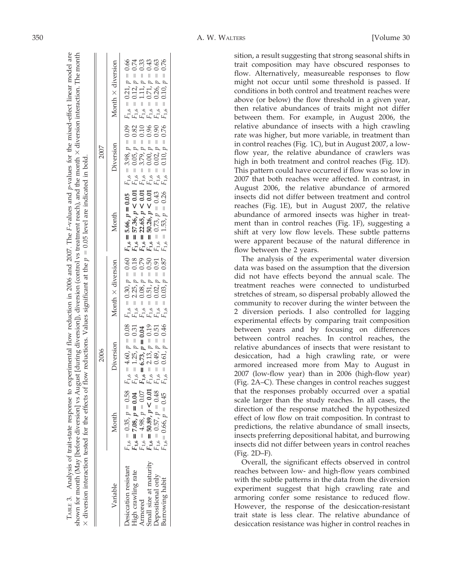|                                                                                                                                 |                                                                                                                                                                                             |           |                          | shown for month (May [before diversion] vs August [during diversion]), diversion (control vs treatment reach), and the month × diversion interaction. The month<br>$\times$ diversion interaction tested for the effects of flow reductions. Values significant at the $p = 0.05$ level are indicated in bold. |           |                   |
|---------------------------------------------------------------------------------------------------------------------------------|---------------------------------------------------------------------------------------------------------------------------------------------------------------------------------------------|-----------|--------------------------|----------------------------------------------------------------------------------------------------------------------------------------------------------------------------------------------------------------------------------------------------------------------------------------------------------------|-----------|-------------------|
|                                                                                                                                 |                                                                                                                                                                                             | 2006      |                          |                                                                                                                                                                                                                                                                                                                | 2007      |                   |
| Variable                                                                                                                        | Month                                                                                                                                                                                       | Diversion | Month $\times$ diversion | Month                                                                                                                                                                                                                                                                                                          | Diversion | Month × diversion |
| Small size at maturity<br>Desiccation resistant<br>High crawling rate<br><b>Depositional only</b><br>Burrowing habit<br>Armored | $F_{1,6} = 0.35, p = 0.58$ .<br>$F_{1,6} = 7.08, p = 0.04$ F<br>$F_{1,6} = 4.98, p = 0.07$ F<br>$F_{1,6} = 50.89, p < 0.01$ F<br>$F_{1,6} = 0.57, p = 0.48$ F<br>$F_{1,6} = 0.66, p = 0.45$ |           |                          |                                                                                                                                                                                                                                                                                                                |           |                   |

TABLE 3. Analysis of trait-state response to experimental flow reduction in 2006 and 2007. The

ТАВLЕ З.

Analysis of trait-state response to experimental flow reduction in 2006 and 2007. The F-values and p-values for the mixed-effect linear model are

F-values and p-values for the mixed-effect linear model are

sition, a result suggesting that strong seasonal shifts in trait composition may have obscured responses to flow. Alternatively, measureable responses to flow might not occur until some threshold is passed. If conditions in both control and treatment reaches were above (or below) the flow threshold in a given year, then relative abundances of traits might not differ between them. For example, in August 2006, the relative abundance of insects with a high crawling rate was higher, but more variable, in treatment than in control reaches (Fig. 1C), but in August 2007, a lowflow year, the relative abundance of crawlers was high in both treatment and control reaches (Fig. 1D). This pattern could have occurred if flow was so low in 2007 that both reaches were affected. In contrast, in August 2006, the relative abundance of armored insects did not differ between treatment and control reaches (Fig. 1E), but in August 2007, the relative abundance of armored insects was higher in treatment than in control reaches (Fig. 1F), suggesting a shift at very low flow levels. These subtle patterns were apparent because of the natural difference in flow between the 2 years.

The analysis of the experimental water diversion data was based on the assumption that the diversion did not have effects beyond the annual scale. The treatment reaches were connected to undisturbed stretches of stream, so dispersal probably allowed the community to recover during the winter between the 2 diversion periods. I also controlled for lagging experimental effects by comparing trait composition between years and by focusing on differences between control reaches. In control reaches, the relative abundances of insects that were resistant to desiccation, had a high crawling rate, or were armored increased more from May to August in 2007 (low-flow year) than in 2006 (high-flow year) (Fig. 2A–C). These changes in control reaches suggest that the responses probably occurred over a spatial scale larger than the study reaches. In all cases, the direction of the response matched the hypothesized effect of low flow on trait composition. In contrast to predictions, the relative abundance of small insects, insects preferring depositional habitat, and burrowing insects did not differ between years in control reaches (Fig. 2D–F).

Overall, the significant effects observed in control reaches between low- and high-flow years combined with the subtle patterns in the data from the diversion experiment suggest that high crawling rate and armoring confer some resistance to reduced flow. However, the response of the desiccation-resistant trait state is less clear. The relative abundance of desiccation resistance was higher in control reaches in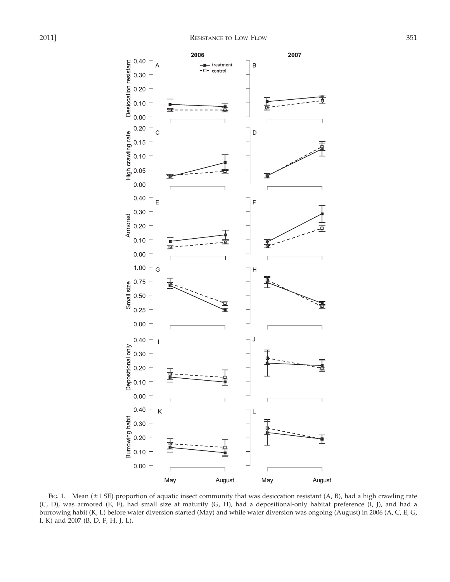

FIG. 1. Mean ( $\pm$ 1 SE) proportion of aquatic insect community that was desiccation resistant (A, B), had a high crawling rate (C, D), was armored (E, F), had small size at maturity (G, H), had a depositional-only habitat preference (I, J), and had a burrowing habit (K, L) before water diversion started (May) and while water diversion was ongoing (August) in 2006 (A, C, E, G, I, K) and 2007 (B, D, F, H, J, L).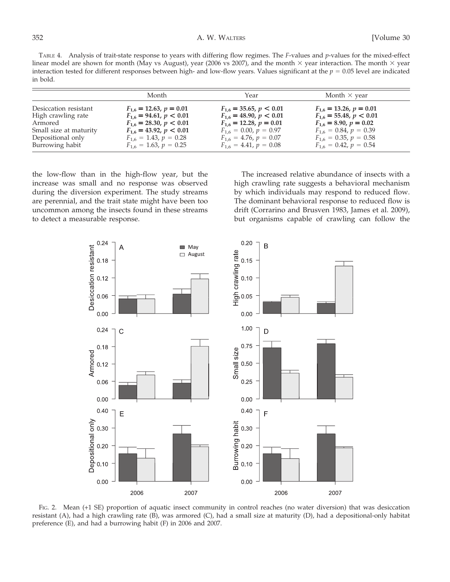TABLE 4. Analysis of trait-state response to years with differing flow regimes. The F-values and p-values for the mixed-effect linear model are shown for month (May vs August), year (2006 vs 2007), and the month  $\times$  year interaction. The month  $\times$  year interaction tested for different responses between high- and low-flow years. Values significant at the  $p = 0.05$  level are indicated in bold.

|                        | Month                          | Year                           | Month $\times$ year            |
|------------------------|--------------------------------|--------------------------------|--------------------------------|
| Desiccation resistant  | $F_{1.6} = 12.63, p = 0.01$    | $F_{1.6} = 35.65, p < 0.01$    | $F_{1.6} = 13.26, p = 0.01$    |
| High crawling rate     | $F_{1.6}$ = 94.61, $p < 0.01$  | $F_{1.6} = 48.90, p \leq 0.01$ | $F_{1.6} = 55.48, p \leq 0.01$ |
| Armored                | $F_{1,6} = 28.30, p < 0.01$    | $F_{1,6} = 12.28, p = 0.01$    | $F_{1,6} = 8.90, p = 0.02$     |
| Small size at maturity | $F_{1.6} = 43.92, p \leq 0.01$ | $F_{1,6} = 0.00, p = 0.97$     | $F_{1.6} = 0.84, p = 0.39$     |
| Depositional only      | $F_{1.6} = 1.43, p = 0.28$     | $F_{1.6} = 4.76, p = 0.07$     | $F_{1.6} = 0.35, p = 0.58$     |
| Burrowing habit        | $F_{1.6} = 1.63, p = 0.25$     | $F_{1.6} = 4.41, p = 0.08$     | $F_{1.6} = 0.42, p = 0.54$     |

the low-flow than in the high-flow year, but the increase was small and no response was observed during the diversion experiment. The study streams are perennial, and the trait state might have been too uncommon among the insects found in these streams to detect a measurable response.

The increased relative abundance of insects with a high crawling rate suggests a behavioral mechanism by which individuals may respond to reduced flow. The dominant behavioral response to reduced flow is drift (Corrarino and Brusven 1983, James et al. 2009), but organisms capable of crawling can follow the



FIG. 2. Mean (+1 SE) proportion of aquatic insect community in control reaches (no water diversion) that was desiccation resistant (A), had a high crawling rate (B), was armored (C), had a small size at maturity (D), had a depositional-only habitat preference (E), and had a burrowing habit (F) in 2006 and 2007.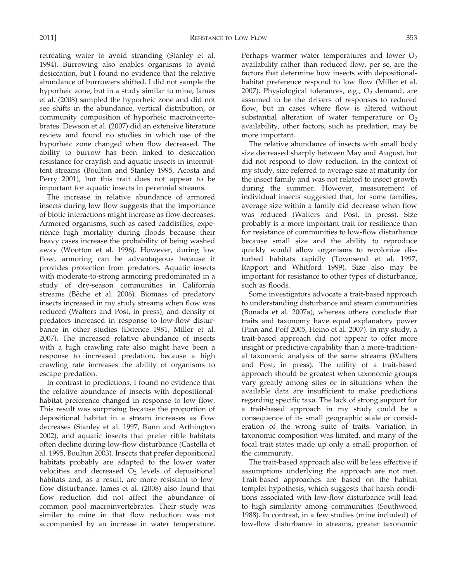retreating water to avoid stranding (Stanley et al. 1994). Burrowing also enables organisms to avoid desiccation, but I found no evidence that the relative abundance of burrowers shifted. I did not sample the hyporheic zone, but in a study similar to mine, James et al. (2008) sampled the hyporheic zone and did not see shifts in the abundance, vertical distribution, or community composition of hyporheic macroinvertebrates. Dewson et al. (2007) did an extensive literature review and found no studies in which use of the hyporheic zone changed when flow decreased. The ability to burrow has been linked to desiccation resistance for crayfish and aquatic insects in intermittent streams (Boulton and Stanley 1995, Acosta and Perry 2001), but this trait does not appear to be important for aquatic insects in perennial streams.

The increase in relative abundance of armored insects during low flow suggests that the importance of biotic interactions might increase as flow decreases. Armored organisms, such as cased caddisflies, experience high mortality during floods because their heavy cases increase the probability of being washed away (Wootton et al. 1996). However, during low flow, armoring can be advantageous because it provides protection from predators. Aquatic insects with moderate-to-strong armoring predominated in a study of dry-season communities in California streams (Bêche et al. 2006). Biomass of predatory insects increased in my study streams when flow was reduced (Walters and Post, in press), and density of predators increased in response to low-flow disturbance in other studies (Extence 1981, Miller et al. 2007). The increased relative abundance of insects with a high crawling rate also might have been a response to increased predation, because a high crawling rate increases the ability of organisms to escape predation.

In contrast to predictions, I found no evidence that the relative abundance of insects with depositionalhabitat preference changed in response to low flow. This result was surprising because the proportion of depositional habitat in a stream increases as flow decreases (Stanley et al. 1997, Bunn and Arthington 2002), and aquatic insects that prefer riffle habitats often decline during low-flow disturbance (Castella et al. 1995, Boulton 2003). Insects that prefer depositional habitats probably are adapted to the lower water velocities and decreased  $O<sub>2</sub>$  levels of depositional habitats and, as a result, are more resistant to lowflow disturbance. James et al. (2008) also found that flow reduction did not affect the abundance of common pool macroinvertebrates. Their study was similar to mine in that flow reduction was not accompanied by an increase in water temperature. Perhaps warmer water temperatures and lower  $O_2$ availability rather than reduced flow, per se, are the factors that determine how insects with depositionalhabitat preference respond to low flow (Miller et al. 2007). Physiological tolerances, e.g.,  $O_2$  demand, are assumed to be the drivers of responses to reduced flow, but in cases where flow is altered without substantial alteration of water temperature or  $O_2$ availability, other factors, such as predation, may be more important.

The relative abundance of insects with small body size decreased sharply between May and August, but did not respond to flow reduction. In the context of my study, size referred to average size at maturity for the insect family and was not related to insect growth during the summer. However, measurement of individual insects suggested that, for some families, average size within a family did decrease when flow was reduced (Walters and Post, in press). Size probably is a more important trait for resilience than for resistance of communities to low-flow disturbance because small size and the ability to reproduce quickly would allow organisms to recolonize disturbed habitats rapidly (Townsend et al. 1997, Rapport and Whitford 1999). Size also may be important for resistance to other types of disturbance, such as floods.

Some investigators advocate a trait-based approach to understanding disturbance and steam communities (Bonada et al. 2007a), whereas others conclude that traits and taxonomy have equal explanatory power (Finn and Poff 2005, Heino et al. 2007). In my study, a trait-based approach did not appear to offer more insight or predictive capability than a more-traditional taxonomic analysis of the same streams (Walters and Post, in press). The utility of a trait-based approach should be greatest when taxonomic groups vary greatly among sites or in situations when the available data are insufficient to make predictions regarding specific taxa. The lack of strong support for a trait-based approach in my study could be a consequence of its small geographic scale or consideration of the wrong suite of traits. Variation in taxonomic composition was limited, and many of the focal trait states made up only a small proportion of the community.

The trait-based approach also will be less effective if assumptions underlying the approach are not met. Trait-based approaches are based on the habitat templet hypothesis, which suggests that harsh conditions associated with low-flow disturbance will lead to high similarity among communities (Southwood 1988). In contrast, in a few studies (mine included) of low-flow disturbance in streams, greater taxonomic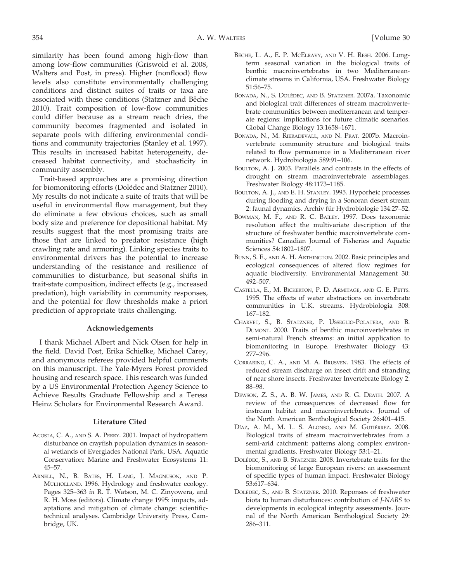similarity has been found among high-flow than among low-flow communities (Griswold et al. 2008, Walters and Post, in press). Higher (nonflood) flow levels also constitute environmentally challenging conditions and distinct suites of traits or taxa are associated with these conditions (Statzner and Bêche 2010). Trait composition of low-flow communities could differ because as a stream reach dries, the community becomes fragmented and isolated in separate pools with differing environmental conditions and community trajectories (Stanley et al. 1997). This results in increased habitat heterogeneity, decreased habitat connectivity, and stochasticity in community assembly.

Trait-based approaches are a promising direction for biomonitoring efforts (Dolédec and Statzner 2010). My results do not indicate a suite of traits that will be useful in environmental flow management, but they do eliminate a few obvious choices, such as small body size and preference for depositional habitat. My results suggest that the most promising traits are those that are linked to predator resistance (high crawling rate and armoring). Linking species traits to environmental drivers has the potential to increase understanding of the resistance and resilience of communities to disturbance, but seasonal shifts in trait-state composition, indirect effects (e.g., increased predation), high variability in community responses, and the potential for flow thresholds make a priori prediction of appropriate traits challenging.

## Acknowledgements

I thank Michael Albert and Nick Olsen for help in the field. David Post, Erika Schielke, Michael Carey, and anonymous referees provided helpful comments on this manuscript. The Yale-Myers Forest provided housing and research space. This research was funded by a US Environmental Protection Agency Science to Achieve Results Graduate Fellowship and a Teresa Heinz Scholars for Environmental Research Award.

## Literature Cited

- ACOSTA, C. A., AND S. A. PERRY. 2001. Impact of hydropattern disturbance on crayfish population dynamics in seasonal wetlands of Everglades National Park, USA. Aquatic Conservation: Marine and Freshwater Ecosystems 11: 45–57.
- ARNELL, N., B. BATES, H. LANG, J. MAGNUSON, AND P. MULHOLLAND. 1996. Hydrology and freshwater ecology. Pages 325–363 in R. T. Watson, M. C. Zinyowera, and R. H. Moss (editors). Climate change 1995: impacts, adaptations and mitigation of climate change: scientifictechnical analyses. Cambridge University Press, Cambridge, UK.
- BÊCHE, L. A., E. P. MCELRAVY, AND V. H. RESH. 2006. Longterm seasonal variation in the biological traits of benthic macroinvertebrates in two Mediterraneanclimate streams in California, USA. Freshwater Biology 51:56–75.
- BONADA, N., S. DOLÉDEC, AND B. STATZNER. 2007a. Taxonomic and biological trait differences of stream macroinvertebrate communities between mediterranean and temperate regions: implications for future climatic scenarios. Global Change Biology 13:1658–1671.
- BONADA, N., M. RIERADEVALL, AND N. PRAT. 2007b. Macroinvertebrate community structure and biological traits related to flow permanence in a Mediterranean river network. Hydrobiologia 589:91–106.
- BOULTON, A. J. 2003. Parallels and contrasts in the effects of drought on stream macroinvertebrate assemblages. Freshwater Biology 48:1173–1185.
- BOULTON, A. J., AND E. H. STANLEY. 1995. Hyporheic processes during flooding and drying in a Sonoran desert stream 2: faunal dynamics. Archiv für Hydrobiologie 134:27-52.
- BOWMAN, M. F., AND R. C. BAILEY. 1997. Does taxonomic resolution affect the multivariate description of the structure of freshwater benthic macroinvertebrate communities? Canadian Journal of Fisheries and Aquatic Sciences 54:1802–1807.
- BUNN, S. E., AND A. H. ARTHINGTON. 2002. Basic principles and ecological consequences of altered flow regimes for aquatic biodiversity. Environmental Management 30: 492–507.
- CASTELLA, E., M. BICKERTON, P. D. ARMITAGE, AND G. E. PETTS. 1995. The effects of water abstractions on invertebrate communities in U.K. streams. Hydrobiologia 308: 167–182.
- CHARVET, S., B. STATZNER, P. USSEGLIO-POLATERA, AND B. DUMONT. 2000. Traits of benthic macroinvertebrates in semi-natural French streams: an initial application to biomonitoring in Europe. Freshwater Biology 43: 277–296.
- CORRARINO, C. A., AND M. A. BRUSVEN. 1983. The effects of reduced stream discharge on insect drift and stranding of near shore insects. Freshwater Invertebrate Biology 2: 88–98.
- DEWSON, Z. S., A. B. W. JAMES, AND R. G. DEATH. 2007. A review of the consequences of decreased flow for instream habitat and macroinvertebrates. Journal of the North American Benthological Society 26:401–415.
- Díaz, A. M., M. L. S. Alonso, and M. Gutiérrez. 2008. Biological traits of stream macroinvertebrates from a semi-arid catchment: patterns along complex environmental gradients. Freshwater Biology 53:1–21.
- DOLÉDEC, S., AND B. STATZNER. 2008. Invertebrate traits for the biomonitoring of large European rivers: an assessment of specific types of human impact. Freshwater Biology 53:617–634.
- DOLÉDEC, S., AND B. STATZNER. 2010. Reponses of freshwater biota to human disturbances: contribution of J-NABS to developments in ecological integrity assessments. Journal of the North American Benthological Society 29: 286–311.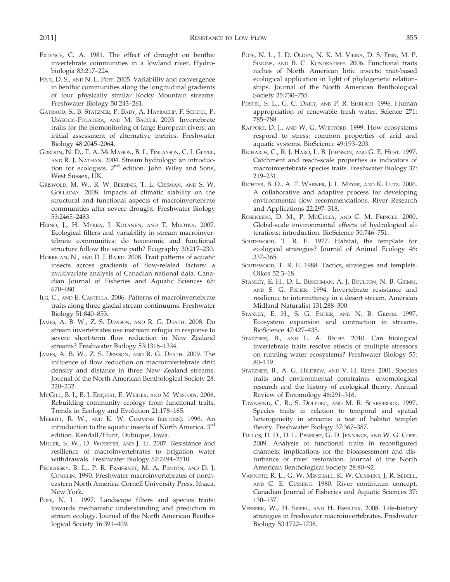- EXTENCE, C. A. 1981. The effect of drought on benthic invertebrate communities in a lowland river. Hydrobiologia 83:217–224.
- FINN, D. S., AND N. L. POFF. 2005. Variability and convergence in benthic communities along the longitudinal gradients of four physically similar Rocky Mountain streams. Freshwater Biology 50:243–261.
- GAYRAUD, S., B. STATZNER, P. BADY, A. HAYBACHP, F. SCHOLL, P. USSEGLIO-POLATERA, AND M. BACCHI. 2003. Invertebrate traits for the biomonitoring of large European rivers: an initial assessment of alternative metrics. Freshwater Biology 48:2045–2064.
- GORDON, N. D., T. A. MCMAHON, B. L. FINLAYSON, C. J. GIPPEL, AND R. J. NATHAN. 2004. Stream hydrology: an introduction for ecologists. 2nd edition. John Wiley and Sons, West Sussex, UK.
- GRISWOLD, M. W., R. W. BERZINIS, T. L. CRISMAN, AND S. W. GOLLADAY. 2008. Impacts of climatic stability on the structural and functional aspects of macroinvertebrate communities after severe drought. Freshwater Biology 53:2465–2483.
- HEINO, J., H. MYKRÄ, J. KOTANEN, AND T. MUOTKA. 2007. Ecological filters and variability in stream macroinvertebrate communities: do taxonomic and functional structure follow the same path? Ecography 30:217–230.
- HORRIGAN, N., AND D. J. BAIRD. 2008. Trait patterns of aquatic insects across gradients of flow-related factors: a multivariate analysis of Canadian national data. Canadian Journal of Fisheries and Aquatic Sciences 65: 670–680.
- ILG, C., AND E. CASTELLA. 2006. Patterns of macroinvertebrate traits along three glacial stream continuums. Freshwater Biology 51:840–853.
- JAMES, A. B. W., Z. S. DEWSON, AND R. G. DEATH. 2008. Do stream invertebrates use instream refugia in response to severe short-term flow reduction in New Zealand streams? Freshwater Biology 53:1316–1334.
- JAMES, A. B. W., Z. S. DEWSON, AND R. G. DEATH. 2009. The influence of flow reduction on macroinvertebrate drift density and distance in three New Zealand streams. Journal of the North American Benthological Society 28: 220–232.
- MCGILL, B. J., B. J. ENQUIST, E. WEIHER, AND M. WESTOBY. 2006. Rebuilding community ecology from functional traits. Trends in Ecology and Evolution 21:178–185.
- MERRITT, R. W., AND K. W. CUMMINS (EDITORS). 1996. An introduction to the aquatic insects of North America. 3rd edition. Kendall/Hunt, Dubuque, Iowa.
- MILLER, S. W., D. WOOSTER, AND J. LI. 2007. Resistance and resilience of macroinvertebrates to irrigation water withdrawals. Freshwater Biology 52:2494–2510.
- PECKARSKY, B. L., P. R. FRAISSINET, M. A. PENTON, AND D. J. CONKLIN. 1990. Freshwater macroinvertebrates of northeastern North America. Cornell University Press, Ithaca, New York.
- POFF, N. L. 1997. Landscape filters and species traits: towards mechanistic understanding and prediction in stream ecology. Journal of the North American Benthological Society 16:391–409.
- POFF, N. L., J. D. OLDEN, N. K. M. VIEIRA, D. S. FINN, M. P. SIMONS, AND B. C. KONDRATIEFF. 2006. Functional traits niches of North American lotic insects: trait-based ecological application in light of phylogenetic relationships. Journal of the North American Benthological Society 25:730–755.
- POSTEL, S. L., G. C. DAILY, AND P. R. EHRLICH. 1996. Human appropriation of renewable fresh water. Science 271: 785–788.
- RAPPORT, D. J., AND W. G. WHITFORD. 1999. How ecosystems respond to stress: common properties of arid and aquatic systems. BioScience 49:193–203.
- RICHARDS, C., R. J. HARO, L. B. JOHNSON, AND G. E. HOST. 1997. Catchment and reach-scale properties as indicators of macroinvertebrate species traits. Freshwater Biology 37: 219–231.
- RICHTER, B. D., A. T. WARNER, J. L. MEYER, AND K. LUTZ. 2006. A collaborative and adaptive process for developing environmental flow recommendations. River Research and Applications 22:297–318.
- ROSENBERG, D. M., P. MCCULLY, AND C. M. PRINGLE. 2000. Global-scale environmental effects of hydrological alterations: introduction. BioScience 50:746–751.
- SOUTHWOOD, T. R. E. 1977. Habitat, the template for ecological strategies? Journal of Animal Ecology 46: 337–365.
- SOUTHWOOD, T. R. E. 1988. Tactics, strategies and templets. Oikos 52:3–18.
- STANLEY, E. H., D. L. BUSCHMAN, A. J. BOULTON, N. B. GRIMM, AND S. G. FISHER. 1994. Invertebrate resistance and resilience to intermittency in a desert stream. American Midland Naturalist 131:288–300.
- STANLEY, E. H., S. G. FISHER, AND N. B. GRIMM. 1997. Ecosystem expansion and contraction in streams. BioScience 47:427–435.
- STATZNER, B., AND L. A. BÊCHE. 2010. Can biological invertebrate traits resolve effects of multiple stressors on running water ecosystems? Freshwater Biology 55: 80–119.
- STATZNER, B., A. G. HILDREW, AND V. H. RESH. 2001. Species traits and environmental constraints: entomological research and the history of ecological theory. Annual Review of Entomology 46:291–316.
- TOWNSEND, C. R., S. DOLÉDEC, AND M. R. SCARSBROOK. 1997. Species traits in relation to temporal and spatial heterogeneity in streams: a test of habitat templet theory. Freshwater Biology 37:367–387.
- TULLOS, D. D., D. L. PENROSE, G. D. JENNINGS, AND W. G. COPE. 2009. Analysis of functional traits in reconfigured channels: implications for the bioassessment and disturbance of river restoration. Journal of the North American Benthological Society 28:80–92.
- VANNOTE, R. L., G. W. MINSHALL, K. W. CUMMINS, J. R. SEDELL, AND C. E. CUSHING. 1980. River continuum concept. Canadian Journal of Fisheries and Aquatic Sciences 37: 130–137.
- VERBERK, W., H. SIEPEL, AND H. ESSELINK. 2008. Life-history strategies in freshwater macroinvertebrates. Freshwater Biology 53:1722–1738.